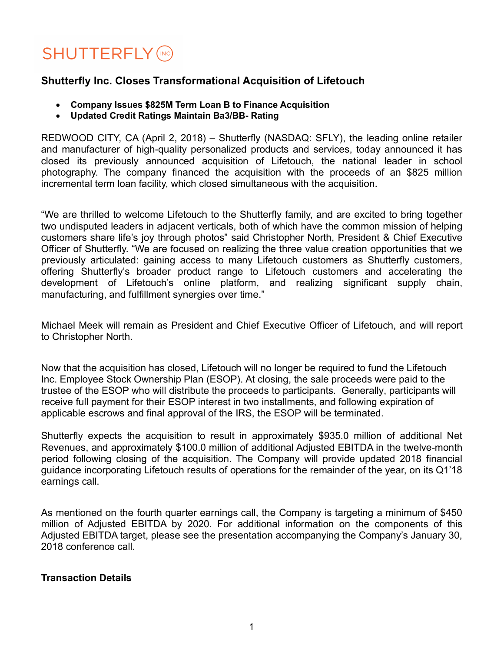# **SHUTTERFLY (INC)**

# **Shutterfly Inc. Closes Transformational Acquisition of Lifetouch**

- **Company Issues \$825M Term Loan B to Finance Acquisition**
- **Updated Credit Ratings Maintain Ba3/BB- Rating**

REDWOOD CITY, CA (April 2, 2018) – Shutterfly (NASDAQ: SFLY), the leading online retailer and manufacturer of high-quality personalized products and services, today announced it has closed its previously announced acquisition of Lifetouch, the national leader in school photography. The company financed the acquisition with the proceeds of an \$825 million incremental term loan facility, which closed simultaneous with the acquisition.

"We are thrilled to welcome Lifetouch to the Shutterfly family, and are excited to bring together two undisputed leaders in adjacent verticals, both of which have the common mission of helping customers share life's joy through photos" said Christopher North, President & Chief Executive Officer of Shutterfly. "We are focused on realizing the three value creation opportunities that we previously articulated: gaining access to many Lifetouch customers as Shutterfly customers, offering Shutterfly's broader product range to Lifetouch customers and accelerating the development of Lifetouch's online platform, and realizing significant supply chain, manufacturing, and fulfillment synergies over time."

Michael Meek will remain as President and Chief Executive Officer of Lifetouch, and will report to Christopher North.

Now that the acquisition has closed, Lifetouch will no longer be required to fund the Lifetouch Inc. Employee Stock Ownership Plan (ESOP). At closing, the sale proceeds were paid to the trustee of the ESOP who will distribute the proceeds to participants. Generally, participants will receive full payment for their ESOP interest in two installments, and following expiration of applicable escrows and final approval of the IRS, the ESOP will be terminated.

Shutterfly expects the acquisition to result in approximately \$935.0 million of additional Net Revenues, and approximately \$100.0 million of additional Adjusted EBITDA in the twelve-month period following closing of the acquisition. The Company will provide updated 2018 financial guidance incorporating Lifetouch results of operations for the remainder of the year, on its Q1'18 earnings call.

As mentioned on the fourth quarter earnings call, the Company is targeting a minimum of \$450 million of Adjusted EBITDA by 2020. For additional information on the components of this Adjusted EBITDA target, please see the presentation accompanying the Company's January 30, 2018 conference call.

## **Transaction Details**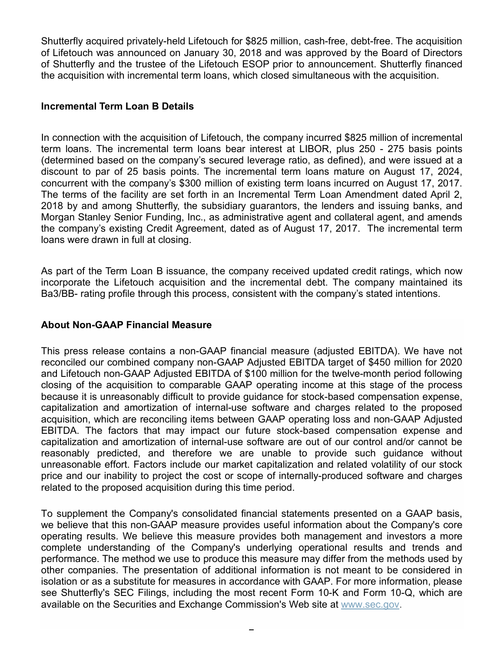Shutterfly acquired privately-held Lifetouch for \$825 million, cash-free, debt-free. The acquisition of Lifetouch was announced on January 30, 2018 and was approved by the Board of Directors of Shutterfly and the trustee of the Lifetouch ESOP prior to announcement. Shutterfly financed the acquisition with incremental term loans, which closed simultaneous with the acquisition.

#### **Incremental Term Loan B Details**

In connection with the acquisition of Lifetouch, the company incurred \$825 million of incremental term loans. The incremental term loans bear interest at LIBOR, plus 250 - 275 basis points (determined based on the company's secured leverage ratio, as defined), and were issued at a discount to par of 25 basis points. The incremental term loans mature on August 17, 2024, concurrent with the company's \$300 million of existing term loans incurred on August 17, 2017. The terms of the facility are set forth in an Incremental Term Loan Amendment dated April 2, 2018 by and among Shutterfly, the subsidiary guarantors, the lenders and issuing banks, and Morgan Stanley Senior Funding, Inc., as administrative agent and collateral agent, and amends the company's existing Credit Agreement, dated as of August 17, 2017. The incremental term loans were drawn in full at closing.

As part of the Term Loan B issuance, the company received updated credit ratings, which now incorporate the Lifetouch acquisition and the incremental debt. The company maintained its Ba3/BB- rating profile through this process, consistent with the company's stated intentions.

#### **About Non-GAAP Financial Measure**

This press release contains a non-GAAP financial measure (adjusted EBITDA). We have not reconciled our combined company non-GAAP Adjusted EBITDA target of \$450 million for 2020 and Lifetouch non-GAAP Adjusted EBITDA of \$100 million for the twelve-month period following closing of the acquisition to comparable GAAP operating income at this stage of the process because it is unreasonably difficult to provide guidance for stock-based compensation expense, capitalization and amortization of internal-use software and charges related to the proposed acquisition, which are reconciling items between GAAP operating loss and non-GAAP Adjusted EBITDA. The factors that may impact our future stock-based compensation expense and capitalization and amortization of internal-use software are out of our control and/or cannot be reasonably predicted, and therefore we are unable to provide such guidance without unreasonable effort. Factors include our market capitalization and related volatility of our stock price and our inability to project the cost or scope of internally-produced software and charges related to the proposed acquisition during this time period.

To supplement the Company's consolidated financial statements presented on a GAAP basis, we believe that this non-GAAP measure provides useful information about the Company's core operating results. We believe this measure provides both management and investors a more complete understanding of the Company's underlying operational results and trends and performance. The method we use to produce this measure may differ from the methods used by other companies. The presentation of additional information is not meant to be considered in isolation or as a substitute for measures in accordance with GAAP. For more information, please see Shutterfly's SEC Filings, including the most recent Form 10-K and Form 10-Q, which are available on the Securities and Exchange Commission's Web site at www.sec.gov.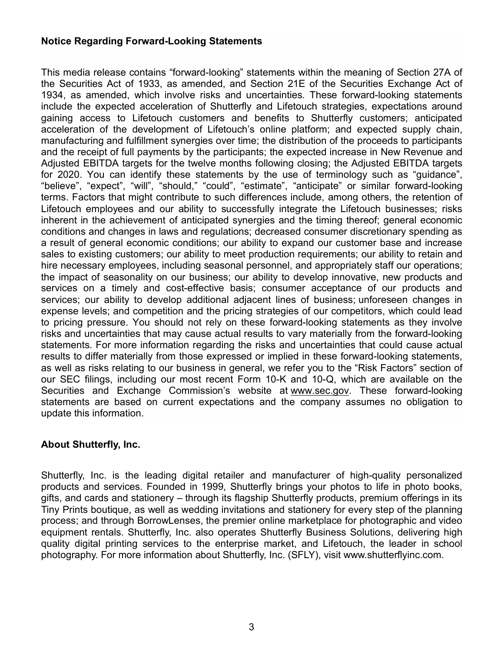#### **Notice Regarding Forward-Looking Statements**

This media release contains "forward-looking" statements within the meaning of Section 27A of the Securities Act of 1933, as amended, and Section 21E of the Securities Exchange Act of 1934, as amended, which involve risks and uncertainties. These forward-looking statements include the expected acceleration of Shutterfly and Lifetouch strategies, expectations around gaining access to Lifetouch customers and benefits to Shutterfly customers; anticipated acceleration of the development of Lifetouch's online platform; and expected supply chain, manufacturing and fulfillment synergies over time; the distribution of the proceeds to participants and the receipt of full payments by the participants; the expected increase in New Revenue and Adjusted EBITDA targets for the twelve months following closing; the Adjusted EBITDA targets for 2020. You can identify these statements by the use of terminology such as "guidance", "believe", "expect", "will", "should," "could", "estimate", "anticipate" or similar forward-looking terms. Factors that might contribute to such differences include, among others, the retention of Lifetouch employees and our ability to successfully integrate the Lifetouch businesses; risks inherent in the achievement of anticipated synergies and the timing thereof; general economic conditions and changes in laws and regulations; decreased consumer discretionary spending as a result of general economic conditions; our ability to expand our customer base and increase sales to existing customers; our ability to meet production requirements; our ability to retain and hire necessary employees, including seasonal personnel, and appropriately staff our operations; the impact of seasonality on our business; our ability to develop innovative, new products and services on a timely and cost-effective basis; consumer acceptance of our products and services; our ability to develop additional adjacent lines of business; unforeseen changes in expense levels; and competition and the pricing strategies of our competitors, which could lead to pricing pressure. You should not rely on these forward-looking statements as they involve risks and uncertainties that may cause actual results to vary materially from the forward-looking statements. For more information regarding the risks and uncertainties that could cause actual results to differ materially from those expressed or implied in these forward-looking statements, as well as risks relating to our business in general, we refer you to the "Risk Factors" section of our SEC filings, including our most recent Form 10-K and 10-Q, which are available on the Securities and Exchange Commission's website at www.sec.gov. These forward-looking statements are based on current expectations and the company assumes no obligation to update this information.

## **About Shutterfly, Inc.**

Shutterfly, Inc. is the leading digital retailer and manufacturer of high-quality personalized products and services. Founded in 1999, Shutterfly brings your photos to life in photo books, gifts, and cards and stationery – through its flagship Shutterfly products, premium offerings in its Tiny Prints boutique, as well as wedding invitations and stationery for every step of the planning process; and through BorrowLenses, the premier online marketplace for photographic and video equipment rentals. Shutterfly, Inc. also operates Shutterfly Business Solutions, delivering high quality digital printing services to the enterprise market, and Lifetouch, the leader in school photography. For more information about Shutterfly, Inc. (SFLY), visit www.shutterflyinc.com.